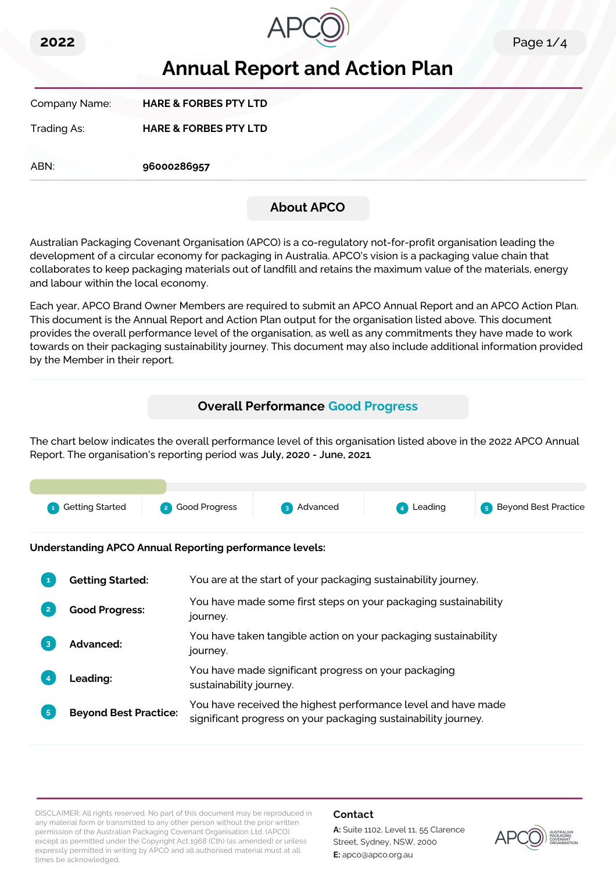



# **Annual Report and Action Plan**

| Company Name: | <b>HARE &amp; FORBES PTY LTD</b> |
|---------------|----------------------------------|
| Trading As:   | <b>HARE &amp; FORBES PTY LTD</b> |

ABN: **96000286957**

# **About APCO**

Australian Packaging Covenant Organisation (APCO) is a co-regulatory not-for-profit organisation leading the development of a circular economy for packaging in Australia. APCO's vision is a packaging value chain that collaborates to keep packaging materials out of landfill and retains the maximum value of the materials, energy and labour within the local economy.

Each year, APCO Brand Owner Members are required to submit an APCO Annual Report and an APCO Action Plan. This document is the Annual Report and Action Plan output for the organisation listed above. This document provides the overall performance level of the organisation, as well as any commitments they have made to work towards on their packaging sustainability journey. This document may also include additional information provided by the Member in their report.

# **Overall Performance Good Progress**

The chart below indicates the overall performance level of this organisation listed above in the 2022 APCO Annual Report. The organisation's reporting period was **July, 2020 - June, 2021**.



**Understanding APCO Annual Reporting performance levels:**

|                | <b>Getting Started:</b>      | You are at the start of your packaging sustainability journey.                                                                  |
|----------------|------------------------------|---------------------------------------------------------------------------------------------------------------------------------|
|                | <b>Good Progress:</b>        | You have made some first steps on your packaging sustainability<br>journey.                                                     |
| 3              | Advanced:                    | You have taken tangible action on your packaging sustainability<br>journey.                                                     |
|                | <b>Leading:</b>              | You have made significant progress on your packaging<br>sustainability journey.                                                 |
| 5 <sub>5</sub> | <b>Beyond Best Practice:</b> | You have received the highest performance level and have made<br>significant progress on your packaging sustainability journey. |

DISCLAIMER: All rights reserved. No part of this document may be reproduced in any material form or transmitted to any other person without the prior written permission of the Australian Packaging Covenant Organisation Ltd. (APCO) except as permitted under the Copyright Act 1968 (Cth) (as amended) or unless expressly permitted in writing by APCO and all authorised material must at all times be acknowledged.

# **Contact**

**A:** Suite 1102, Level 11, 55 Clarence Street, Sydney, NSW, 2000 **E:** apco@apco.org.au

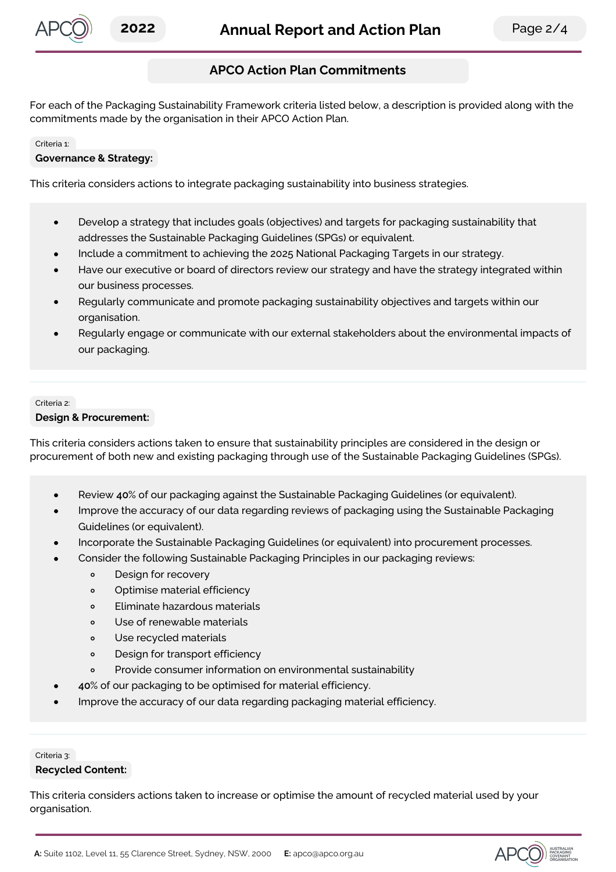

# **APCO Action Plan Commitments**

For each of the Packaging Sustainability Framework criteria listed below, a description is provided along with the commitments made by the organisation in their APCO Action Plan.

#### Criteria 1:

### **Governance & Strategy:**

This criteria considers actions to integrate packaging sustainability into business strategies.

- Develop a strategy that includes goals (objectives) and targets for packaging sustainability that  $\bullet$ addresses the Sustainable Packaging Guidelines (SPGs) or equivalent.
- Include a commitment to achieving the 2025 National Packaging Targets in our strategy.
- Have our executive or board of directors review our strategy and have the strategy integrated within our business processes.
- Regularly communicate and promote packaging sustainability objectives and targets within our organisation.
- Regularly engage or communicate with our external stakeholders about the environmental impacts of our packaging.

#### Criteria 2:

#### **Design & Procurement:**

This criteria considers actions taken to ensure that sustainability principles are considered in the design or procurement of both new and existing packaging through use of the Sustainable Packaging Guidelines (SPGs).

- Review **40**% of our packaging against the Sustainable Packaging Guidelines (or equivalent).
- Improve the accuracy of our data regarding reviews of packaging using the Sustainable Packaging Guidelines (or equivalent).
- Incorporate the Sustainable Packaging Guidelines (or equivalent) into procurement processes.
- Consider the following Sustainable Packaging Principles in our packaging reviews:
	- Design for recovery  $\circ$
	- $\circ$ Optimise material efficiency
	- Eliminate hazardous materials  $\circ$
	- Use of renewable materials  $\circ$
	- Use recycled materials  $\circ$
	- $\circ$ Design for transport efficiency
	- Provide consumer information on environmental sustainability  $\circ$
	- **40**% of our packaging to be optimised for material efficiency.
- Improve the accuracy of our data regarding packaging material efficiency.

# Criteria 3:

#### **Recycled Content:**

This criteria considers actions taken to increase or optimise the amount of recycled material used by your organisation.

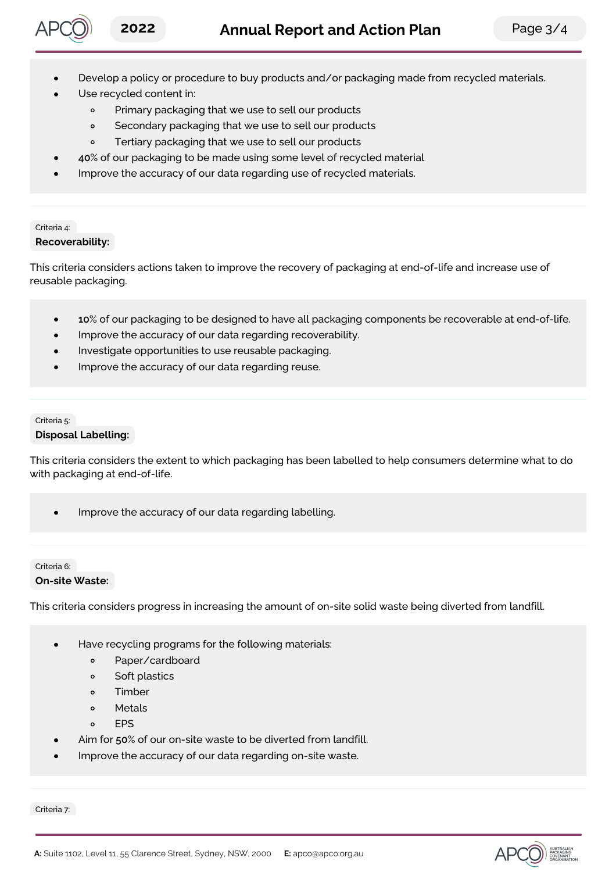

- Develop a policy or procedure to buy products and/or packaging made from recycled materials.
- Use recycled content in:
	- $\circ$ Primary packaging that we use to sell our products
	- $\circ$ Secondary packaging that we use to sell our products
	- Tertiary packaging that we use to sell our products  $\circ$
- **40**% of our packaging to be made using some level of recycled material
- Improve the accuracy of our data regarding use of recycled materials.

# Criteria 4: **Recoverability:**

This criteria considers actions taken to improve the recovery of packaging at end-of-life and increase use of reusable packaging.

- **10**% of our packaging to be designed to have all packaging components be recoverable at end-of-life.
- Improve the accuracy of our data regarding recoverability.
- Investigate opportunities to use reusable packaging.
- Improve the accuracy of our data regarding reuse.

# Criteria 5: **Disposal Labelling:**

This criteria considers the extent to which packaging has been labelled to help consumers determine what to do with packaging at end-of-life.

Improve the accuracy of our data regarding labelling.

# Criteria 6:

#### **On-site Waste:**

This criteria considers progress in increasing the amount of on-site solid waste being diverted from landfill.

- Have recycling programs for the following materials:
	- $\circ$ Paper/cardboard
	- Soft plastics  $\circ$
	- Timber  $\circ$
	- Metals  $\Omega$
	- $\circ$ **FPS**
- Aim for **50**% of our on-site waste to be diverted from landfill.
- Improve the accuracy of our data regarding on-site waste.

Criteria 7: